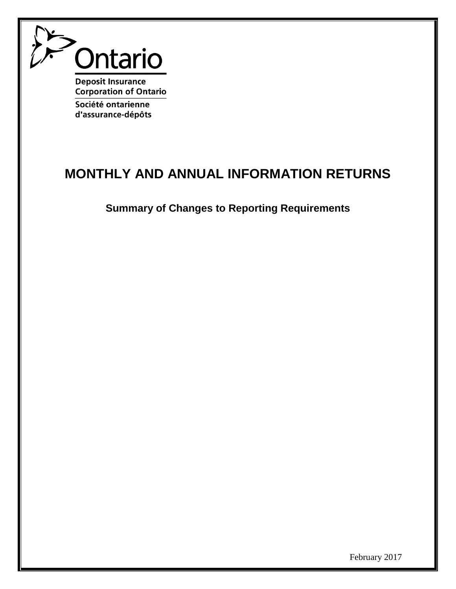

**Deposit Insurance Corporation of Ontario** Société ontarienne

d'assurance-dépôts

## **MONTHLY AND ANNUAL INFORMATION RETURNS**

**Summary of Changes to Reporting Requirements**

February 2017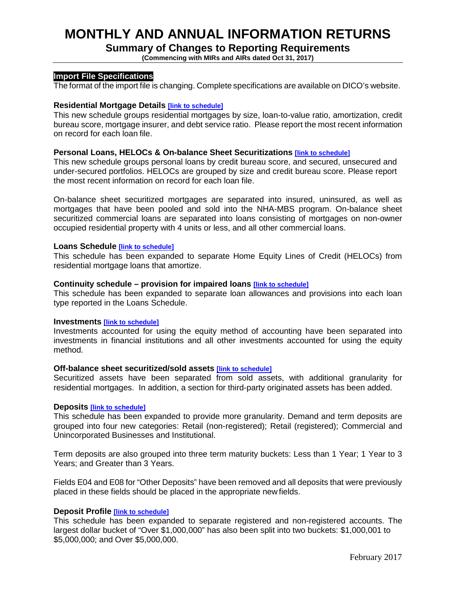## **MONTHLY AND ANNUAL INFORMATION RETURNS**

## **Summary of Changes to Reporting Requirements**

**(Commencing with MIRs and AIRs dated Oct 31, 2017)**

### **Import File Specifications**

The format of the import file is changing. Complete specifications are available on DICO's website.

### **Residential Mortgage Details [\[link to schedule\]](#page-3-0)**

This new schedule groups residential mortgages by size, loan-to-value ratio, amortization, credit bureau score, mortgage insurer, and debt service ratio. Please report the most recent information on record for each loan file.

### **Personal Loans, HELOCs & On-balance Sheet Securitizations [\[link to schedule\]](#page-4-0)**

This new schedule groups personal loans by credit bureau score, and secured, unsecured and under-secured portfolios. HELOCs are grouped by size and credit bureau score. Please report the most recent information on record for each loan file.

On-balance sheet securitized mortgages are separated into insured, uninsured, as well as mortgages that have been pooled and sold into the NHA-MBS program. On-balance sheet securitized commercial loans are separated into loans consisting of mortgages on non-owner occupied residential property with 4 units or less, and all other commercial loans.

### **Loans Schedule [\[link to schedule\]](#page-5-0)**

This schedule has been expanded to separate Home Equity Lines of Credit (HELOCs) from residential mortgage loans that amortize.

### **Continuity schedule – provision for impaired loans [\[link to schedule\]](#page-6-0)**

This schedule has been expanded to separate loan allowances and provisions into each loan type reported in the Loans Schedule.

#### **Investments [\[link to schedule\]](#page-6-1)**

Investments accounted for using the equity method of accounting have been separated into investments in financial institutions and all other investments accounted for using the equity method.

### **Off-balance sheet securitized/sold assets [\[link to schedule\]](#page-7-0)**

Securitized assets have been separated from sold assets, with additional granularity for residential mortgages. In addition, a section for third-party originated assets has been added.

#### **Deposits [\[link to schedule\]](#page-8-0)**

This schedule has been expanded to provide more granularity. Demand and term deposits are grouped into four new categories: Retail (non-registered); Retail (registered); Commercial and Unincorporated Businesses and Institutional.

Term deposits are also grouped into three term maturity buckets: Less than 1 Year; 1 Year to 3 Years; and Greater than 3 Years.

Fields E04 and E08 for "Other Deposits" have been removed and all deposits that were previously placed in these fields should be placed in the appropriate new fields.

### **Deposit Profile [\[link to schedule\]](#page-9-0)**

This schedule has been expanded to separate registered and non-registered accounts. The largest dollar bucket of "Over \$1,000,000" has also been split into two buckets: \$1,000,001 to \$5,000,000; and Over \$5,000,000.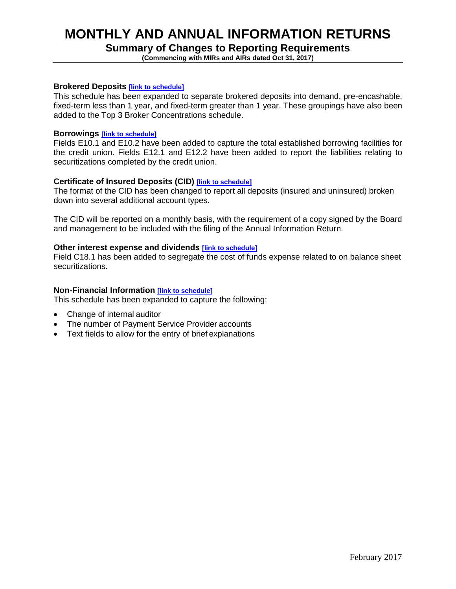## **MONTHLY AND ANNUAL INFORMATION RETURNS**

### **Summary of Changes to Reporting Requirements**

**(Commencing with MIRs and AIRs dated Oct 31, 2017)**

### **Brokered Deposits [\[link to schedule\]](#page-9-1)**

This schedule has been expanded to separate brokered deposits into demand, pre-encashable, fixed-term less than 1 year, and fixed-term greater than 1 year. These groupings have also been added to the Top 3 Broker Concentrations schedule.

### **Borrowings [\[link to schedule\]](#page-10-0)**

Fields E10.1 and E10.2 have been added to capture the total established borrowing facilities for the credit union. Fields E12.1 and E12.2 have been added to report the liabilities relating to securitizations completed by the credit union.

### **Certificate of Insured Deposits (CID) [\[link to schedule\]](#page-11-0)**

The format of the CID has been changed to report all deposits (insured and uninsured) broken down into several additional account types.

The CID will be reported on a monthly basis, with the requirement of a copy signed by the Board and management to be included with the filing of the Annual Information Return.

### **Other interest expense and dividends [\[link to schedule\]](#page-10-1)**

Field C18.1 has been added to segregate the cost of funds expense related to on balance sheet securitizations.

### **Non-Financial Information [\[link to schedule\]](#page-12-0)**

This schedule has been expanded to capture the following:

- Change of internal auditor
- The number of Payment Service Provider accounts
- Text fields to allow for the entry of brief explanations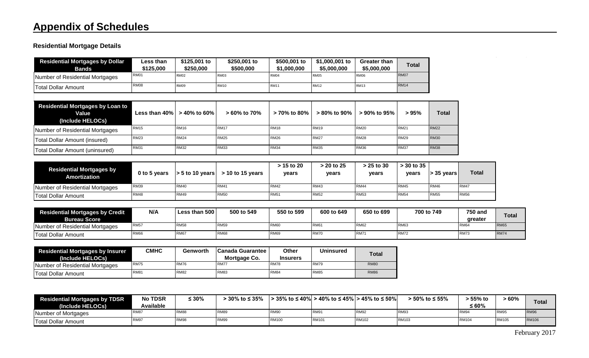## **Residential Mortgage Details**

| <b>Residential Mortgages by Dollar</b>                               | Less than                         | \$125,001 to                | \$250,001 to          | \$500,001 to    | \$1,000,001 to  | Greater than       |              |                 |
|----------------------------------------------------------------------|-----------------------------------|-----------------------------|-----------------------|-----------------|-----------------|--------------------|--------------|-----------------|
| <b>Bands</b>                                                         | \$125,000                         | \$250,000                   | \$500,000             | \$1,000,000     | \$5,000,000     | \$5,000,000        | <b>Total</b> |                 |
| Number of Residential Mortgages                                      | <b>RM01</b>                       | <b>RM02</b>                 | <b>RM03</b>           | <b>RM04</b>     | <b>RM05</b>     | <b>RM06</b>        | <b>RM07</b>  |                 |
| <b>Total Dollar Amount</b>                                           | <b>RM08</b>                       | <b>RM09</b>                 | <b>RM10</b>           | <b>RM11</b>     | <b>RM12</b>     | <b>RM13</b>        | <b>RM14</b>  |                 |
|                                                                      |                                   |                             |                       |                 |                 |                    |              |                 |
| <b>Residential Mortgages by Loan to</b><br>Value<br>(Include HELOCs) | Less than 40%                     | $> 40\%$ to 60%             | $> 60\%$ to 70%       | $> 70\%$ to 80% | $> 80\%$ to 90% | $> 90\%$ to $95\%$ | > 95%        | Total           |
| Number of Residential Mortgages                                      | <b>RM15</b>                       | <b>RM16</b>                 | <b>RM17</b>           | <b>RM18</b>     | <b>RM19</b>     | <b>RM20</b>        | <b>RM21</b>  | <b>RM22</b>     |
| Total Dollar Amount (insured)                                        | <b>RM23</b>                       | <b>RM24</b>                 | <b>RM25</b>           | <b>RM26</b>     | <b>RM27</b>     | <b>RM28</b>        | <b>RM29</b>  | <b>RM30</b>     |
| <b>Total Dollar Amount (uninsured)</b>                               | <b>RM31</b>                       | <b>RM32</b>                 | <b>RM33</b>           | <b>RM34</b>     | <b>RM35</b>     | <b>RM36</b>        | <b>RM37</b>  | <b>RM38</b>     |
|                                                                      |                                   |                             |                       | > 15 to 20      | > 20 to 25      | $> 25$ to 30       | $> 30$ to 35 |                 |
| <b>Residential Mortgages by</b>                                      | 0 <sub>to</sub> 5 <sub>vars</sub> | $\sim$ 5 to 10 years $\mid$ | $\sim$ 10 to 15 years | <b>VASIS</b>    | <b>VASES</b>    | VAArs              | <b>VASIS</b> | $\sim$ 35 years |

<span id="page-3-0"></span>

| <b>Residential Mortgages by</b><br>Amortization | 0 to 5 years | $> 5$ to 10 years | $>$ 10 to 15 vears | > 13 to zu<br>vears | <b>vears</b> | ∙ ∠ο το συ<br>vears | > 30 TO 33<br>vears | $\vert$ > 35 vears | Total       |
|-------------------------------------------------|--------------|-------------------|--------------------|---------------------|--------------|---------------------|---------------------|--------------------|-------------|
| Number of Residential Mortgages                 | <b>RM39</b>  | <b>RM40</b>       | RM4                | <b>RM42</b>         | <b>RM43</b>  | <b>RM44</b>         | <b>RM45</b>         | RM46               | <b>RM47</b> |
| <b>Total Dollar Amount</b>                      | <b>RM48</b>  | <b>RM49</b>       | <b>RM50</b>        | <b>RM51</b>         | <b>RM52</b>  | <b>RM53</b>         | <b>RM54</b>         | <b>RM55</b>        | <b>RM56</b> |

| <b>Residential Mortgages by Credit</b> | N/A         | Less than 500     | 500 to 549       | 550 to 599       | 600 to 649      | 650 to 699  | 700 to 749      | <b>750 and</b>   | Tota <sub>1</sub> |
|----------------------------------------|-------------|-------------------|------------------|------------------|-----------------|-------------|-----------------|------------------|-------------------|
| <b>Bureau Score</b>                    |             |                   |                  |                  |                 |             |                 | greater          |                   |
| Jumber of Residential Mortgages        | <b>RM57</b> | RM <sub>5</sub> & | RM <sub>55</sub> | RM <sub>6</sub>  | RM <sub>6</sub> | <b>RM62</b> | RM <sub>6</sub> | RM <sub>64</sub> | <b>RM65</b>       |
| Total Dollar Amount                    | <b>RM66</b> | RM <sub>6</sub>   | RM68             | RM <sub>69</sub> | <b>RM70</b>     | <b>RM71</b> | RM72            | <b>RM73</b>      | <b>RM74</b>       |

| <b>Residential Mortgages by Insurer</b><br>(Include HELOCs) | СМНС        | Genworth    | <b>Canada Guarantee</b><br>Mortgage Co. | Other<br><b>Insurers</b> | <b>Uninsured</b> | <b>Total</b> |
|-------------------------------------------------------------|-------------|-------------|-----------------------------------------|--------------------------|------------------|--------------|
| Number of Residential Mortgages                             | <b>RM75</b> | <b>RM76</b> | <b>RM77</b>                             | <b>RM78</b>              | <b>RM79</b>      | <b>RM80</b>  |
| <b>Total Dollar Amount</b>                                  | <b>RM81</b> | <b>RM82</b> | <b>RM83</b>                             | <b>RM84</b>              | <b>RM85</b>      | <b>RM86</b>  |

| <b>Residential Mortgages by TDSR</b><br>(Include HELOCs) | <b>No TDSR</b><br>Available | $\leq 30\%$ | 30% to $\leq$ 35% | · 35% to ≤ 40%l | $\vert$ > 40% to ≤ 45% $\vert$ > 45% to ≤ 50% $\vert$ |              | > 50% to ≤ 55% | ⋅ 55% to<br>≤ 60% | - 60%        | <b>Total</b> |
|----------------------------------------------------------|-----------------------------|-------------|-------------------|-----------------|-------------------------------------------------------|--------------|----------------|-------------------|--------------|--------------|
| Number of Mortgages                                      | RM <sub>8</sub>             | RM88        | RM89              | RM9             | RM <sub>9</sub>                                       | RM92         | RM93           | <b>RM94</b>       | <b>RM9t</b>  | <b>RM96</b>  |
| <b>Total Dollar Amount</b>                               | RM9                         | <b>RM98</b> | RM99              | <b>RM100</b>    | RM101                                                 | <b>RM102</b> | <b>RM103</b>   | RM104             | <b>RM105</b> | <b>RM106</b> |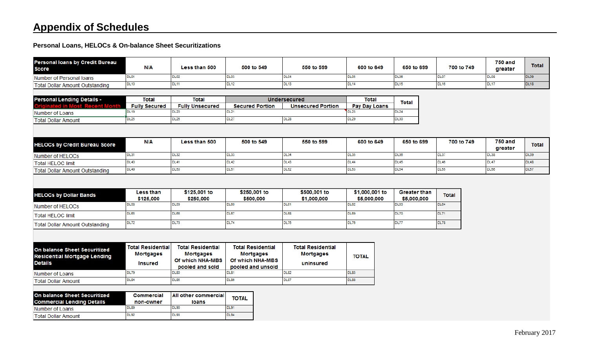**Personal Loans, HELOCs & On-balance Sheet Securitizations**

<span id="page-4-0"></span>

| Personal loans by Credit Bureau<br><b>Score</b>                                       | <b>N/A</b>                                              | <b>Less than 500</b>                                                                | 500 to 549                                                                            | 550 to 599                                                | 600 to 649                                   | 650 to 699                                 | 700 to 749           | <b>750 and</b><br>greater | <b>Total</b> |
|---------------------------------------------------------------------------------------|---------------------------------------------------------|-------------------------------------------------------------------------------------|---------------------------------------------------------------------------------------|-----------------------------------------------------------|----------------------------------------------|--------------------------------------------|----------------------|---------------------------|--------------|
| Number of Personal Ioans                                                              | DL01                                                    | <b>DL02</b>                                                                         | DL03                                                                                  | <b>DL04</b>                                               | <b>DL05</b>                                  | DL06                                       | DL07                 | DL08                      | <b>DL09</b>  |
| <b>Total Dollar Amount Outstanding</b>                                                | <b>DL10</b>                                             | <b>DL11</b>                                                                         | <b>DL12</b>                                                                           | <b>DL13</b>                                               | <b>DL14</b>                                  | <b>DL15</b>                                | <b>DL16</b>          | <b>DL17</b>               | <b>DL18</b>  |
|                                                                                       |                                                         |                                                                                     |                                                                                       |                                                           |                                              |                                            |                      |                           |              |
| <b>Personal Lending Details -</b>                                                     | <b>Total</b>                                            | Total                                                                               |                                                                                       | <b>Undersecured</b>                                       | Total                                        |                                            |                      |                           |              |
| nt Month                                                                              | <b>Fully Secured</b>                                    | <b>Fully Unsecured</b>                                                              | <b>Secured Portion</b>                                                                | <b>Unsecured Portion</b>                                  | Pay Day Loans                                | <b>Total</b>                               |                      |                           |              |
| Number of Loans                                                                       | <b>DL19</b>                                             | <b>DL20</b>                                                                         | <b>DL21</b>                                                                           |                                                           | <b>DL23</b>                                  | <b>DL24</b>                                |                      |                           |              |
| <b>Total Dollar Amount</b>                                                            | DL25                                                    | <b>DL26</b>                                                                         | DL27                                                                                  | <b>DL28</b>                                               | <b>DL29</b>                                  | <b>DL30</b>                                |                      |                           |              |
|                                                                                       |                                                         |                                                                                     |                                                                                       |                                                           |                                              |                                            |                      |                           |              |
| <b>HELOCs by Credit Bureau Score</b>                                                  | N/A                                                     | Less than 500                                                                       | 500 to 549                                                                            | 550 to 599                                                | 600 to 649                                   | 650 to 699                                 | 700 to 749           | <b>750 and</b><br>greater | <b>Total</b> |
| Number of HELOCs                                                                      | <b>DL31</b>                                             | <b>DL32</b>                                                                         | <b>DL33</b>                                                                           | <b>DL34</b>                                               | DL35                                         | <b>DL36</b>                                | <b>DL37</b>          | <b>DL38</b>               | <b>DL39</b>  |
| <b>Total HELOC limit</b>                                                              | <b>DL40</b>                                             | <b>DL41</b>                                                                         | <b>DL42</b>                                                                           | <b>DL43</b>                                               | <b>DL44</b>                                  | <b>DL45</b>                                | <b>DL46</b>          | <b>DL47</b>               | <b>DL48</b>  |
| <b>Total Dollar Amount Outstanding</b>                                                | <b>DL49</b>                                             | <b>DL50</b>                                                                         | <b>DL51</b>                                                                           | <b>DL52</b>                                               | <b>DL53</b>                                  | <b>DL54</b>                                | <b>DL55</b>          | <b>DL56</b>               | <b>DL57</b>  |
| <b>HELOCs by Dollar Bands</b><br>Number of HELOCs                                     | <b>Less than</b><br>\$125,000<br><b>DL58</b>            | \$125,001 to<br>\$250,000<br><b>DL59</b>                                            | \$250,001 to<br>\$500,000<br><b>DL60</b>                                              | \$500,001 to<br>\$1,000,000<br><b>DL61</b>                | \$1,000,001 to<br>\$5,000,000<br><b>DL62</b> | <b>Greater than</b><br>\$5,000,000<br>DL63 | <b>Total</b><br>DL64 |                           |              |
| <b>Total HELOC limit</b>                                                              | <b>DL65</b>                                             | <b>DL66</b>                                                                         | <b>DL67</b>                                                                           | <b>DL68</b>                                               | DL69                                         | <b>DL70</b>                                | <b>DL71</b>          |                           |              |
|                                                                                       | <b>DL72</b>                                             | <b>DL73</b>                                                                         | <b>DL74</b>                                                                           | <b>DL75</b>                                               | <b>DL76</b>                                  | <b>DL77</b>                                | <b>DL78</b>          |                           |              |
| <b>Total Dollar Amount Outstanding</b>                                                |                                                         |                                                                                     |                                                                                       |                                                           |                                              |                                            |                      |                           |              |
| On balance Sheet Securitized<br><b>Residential Mortgage Lending</b><br><b>Details</b> | <b>Total Residential</b><br>Mortgages<br><b>Insured</b> | <b>Total Residential</b><br><b>Mortgages</b><br>Of which NHA-MBS<br>pooled and sold | <b>Total Residential</b><br><b>Mortgages</b><br>Of which NHA-MBS<br>pooled and unsold | <b>Total Residential</b><br><b>Mortgages</b><br>uninsured | <b>TOTAL</b>                                 |                                            |                      |                           |              |
| Number of Loans                                                                       | <b>DL79</b>                                             | <b>DL80</b>                                                                         | <b>DL81</b>                                                                           | <b>DL82</b>                                               | <b>DL83</b>                                  |                                            |                      |                           |              |
| <b>Total Dollar Amount</b>                                                            | <b>DL84</b>                                             | <b>DL85</b>                                                                         | <b>DL86</b>                                                                           | <b>DL87</b>                                               | <b>DL88</b>                                  |                                            |                      |                           |              |
| On balance Sheet Securitized<br><b>Commercial Lending Details</b>                     | <b>Commercial</b><br>non-owner                          | All other commercial<br>loans                                                       | <b>TOTAL</b>                                                                          |                                                           |                                              |                                            |                      |                           |              |
| Number of Loans                                                                       | <b>DL89</b>                                             | <b>DL90</b>                                                                         | DL91                                                                                  |                                                           |                                              |                                            |                      |                           |              |
| <b>Total Dollar Amount</b>                                                            | <b>DL92</b>                                             | <b>DL93</b>                                                                         | <b>DL94</b>                                                                           |                                                           |                                              |                                            |                      |                           |              |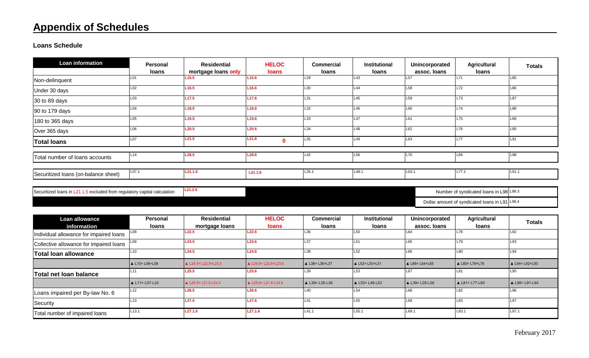**Loans Schedule**

| <b>Loan information</b>              | <b>Personal</b> | <b>Residential</b>  | <b>HELOC</b>          | <b>Commercial</b> | Institutional | Unincorporated  | <b>Agricultural</b> | <b>Totals</b> |
|--------------------------------------|-----------------|---------------------|-----------------------|-------------------|---------------|-----------------|---------------------|---------------|
|                                      | loans           | mortgage loans only | <b>loans</b>          | loans             | loans         | assoc. Ioans    | <b>loans</b>        |               |
| Non-delinquent                       | L <sub>01</sub> | L <sub>15.5</sub>   | L15.6                 | L29               | L43           | L <sub>57</sub> | IL71                | L85           |
| Under 30 days                        | L02             | L <sub>16.5</sub>   | L <sub>16.6</sub>     | L30               | L44           | L <sub>58</sub> | L72                 | L86           |
| 30 to 89 days                        | L <sub>03</sub> | L <sub>17.5</sub>   | L17.6                 | L31               | L45           | L <sub>59</sub> | L73                 | L87           |
| 90 to 179 days                       | L04             | L <sub>18.5</sub>   | L <sub>18.6</sub>     | L32               | L46           | L60             | L74                 | L88           |
| 180 to 365 days                      | L <sub>05</sub> | L <sub>19.5</sub>   | L19.6                 | L33               | L47           | L61             | L75                 | L89           |
| Over 365 days                        | L06             | L20.5               | L20.6                 | L34               | L48           | L62             | L76                 | L90           |
| <b>Total loans</b>                   | L07             | L21.5               | L21.6<br>$\mathbf{0}$ | L35               | L49           | L63             | <b>L77</b>          | L91           |
| Total number of loans accounts       | L14             | L28.5               | L28.6                 | L42               | L56           | L70             | L84                 | L98           |
|                                      |                 |                     |                       |                   |               |                 |                     |               |
| Securitized Ioans (on-balance sheet) | L07.1           | L21.1.5             | L21.1.6               | L35.1             | L49.1         | L63.1           | L77.1               | L91.1         |

<span id="page-5-0"></span>Securitized loans in L21.1.5 excluded from regulatory capital calculation **L21.2.5** Number of syndicated loans in L98 L98.3

Dollar amount of syndicated loans in L91 L98.4

| Loan allowance                          | <b>Personal</b>          | <b>Residential</b>             | <b>HELOC</b>                   | <b>Commercial</b>        | Institutional            | Unincorporated           | Agricultural             | <b>Totals</b>     |
|-----------------------------------------|--------------------------|--------------------------------|--------------------------------|--------------------------|--------------------------|--------------------------|--------------------------|-------------------|
| information                             | <b>loans</b>             | mortgage loans                 | <b>loans</b>                   | loans                    | loans                    | assoc. Ioans             | <b>loans</b>             |                   |
| Individual allowance for impaired loans | L <sub>08</sub>          | L22.5                          | L22.6                          | L36                      | L <sub>50</sub>          | L64                      | L78                      | L92               |
| Collective allowance for impaired loans | L09                      | L23.5                          | L23.6                          | L37                      | L <sub>51</sub>          | L65                      | L79                      | L93               |
| <b>Total loan allowance</b>             | L10                      | L24.5                          | L24.6                          | L38                      | L52                      | L66                      | L80                      | L94               |
|                                         | $\triangle$ L10= L08+L09 | $\triangle$ L24.5= L22.5+L23.5 | $\triangle$ L24.6= L22.6+L23.6 | $\triangle$ L38= L36+L37 | $\triangle$ L52= L50+L51 | $\triangle$ L66= L64+L65 | ▲ L80= L78+L79           | $L94 = L92 + L93$ |
| Total net loan balance                  | L11                      | L25.5                          | L25.6                          | L <sub>39</sub>          | L <sub>53</sub>          | L67                      | L8'                      | L95               |
|                                         | $\triangle$ L11= L07-L10 | $\triangle$ L25.5= L21.5-L24.5 | ▲ L25.6= L21.6-L24.6           | $\triangle$ L39= L35-L38 | $\triangle$ L53= L49-L52 | $\triangle$ L39= L35-L38 | $\triangle$ L81= L77-L80 | ▲ L95= L91-L94    |
| Loans impaired per By-law No. 6         | L <sub>12</sub>          | L26.5                          | L26.6                          | L40                      | L54                      | L68                      | L82                      | L96               |
| Security                                | L <sub>13</sub>          | L27.5                          | L27.6                          | L41                      | L <sub>55</sub>          | L69                      | L83                      | L97               |
| Total number of impaired loans          | L <sub>13.1</sub>        | L27.1.5                        | L27.1.6                        | L41.1                    | L55.1                    | L69.1                    | L83.1                    | L97.1             |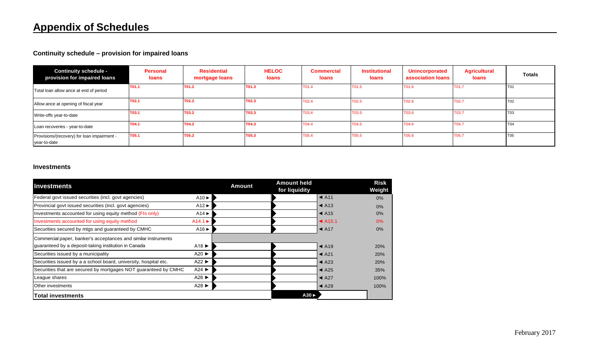## **Continuity schedule – provision for impaired loans**

| <b>Continuity schedule -</b><br>provision for impaired loans | <b>Personal</b><br>loans | <b>Residential</b><br>mortgage loans | <b>HELOC</b><br>loans | <b>Commercial</b><br>loans | <b>Institutional</b><br>loans | <b>Unincorporated</b><br>association loans | <b>Agricultural</b><br><b>loans</b> | <b>Totals</b>  |
|--------------------------------------------------------------|--------------------------|--------------------------------------|-----------------------|----------------------------|-------------------------------|--------------------------------------------|-------------------------------------|----------------|
| Total loan allow ance at end of period                       | T01.1                    | T01.2                                | T01.3                 | T01.4                      | T01.5                         | T01.6                                      | T01.7                               | T <sub>0</sub> |
| Allow ance at opening of fiscal year                         | T02.1                    | T02.2                                | T02.3                 | T02.4                      | T02.5                         | T02.6                                      | T02.7                               | T02            |
| Write-offs year-to-date                                      | T03.1                    | <b>T03.2</b>                         | T03.3                 | T03.4                      | T03.5                         | T03.6                                      | T03.7                               | T03            |
| Loan recoveries - year-to-date                               | T04.1                    | T04.2                                | T04.3                 | T04.4                      | T04.5                         | T04.6                                      | T04.7                               | <b>T04</b>     |
| Provisions/(recovery) for loan impairment -<br>year-to-date  | T05.1                    | T05.2                                | T05.3                 | T05.4                      | T05.5                         | T05.6                                      | T05.7                               | <b>T05</b>     |

### <span id="page-6-0"></span>**Investments**

<span id="page-6-1"></span>

| <b>Investments</b>                                               |                           | <b>Amount</b> | <b>Amount held</b><br>for liquidity |                            | <b>Risk</b><br>Weight |
|------------------------------------------------------------------|---------------------------|---------------|-------------------------------------|----------------------------|-----------------------|
| Federal govt issued securities (incl. govt agencies)             | $A10 \triangleright$      |               |                                     | $\blacktriangleleft$ A11   | $0\%$                 |
| Provincial govt issued securities (incl. govt agencies)          | $A12 \triangleright$      |               |                                     | $\blacktriangleleft$ A13   | 0%                    |
| Investments accounted for using equity method (FIs only)         | $A14 \blacktriangleright$ |               |                                     | $\blacktriangleleft$ A15   | 0%                    |
| Investments accounted for using equity method                    | $A14.1 \triangleright$    |               |                                     | $\blacktriangleleft$ A15.1 | 0%                    |
| Securities secured by mtgs and guaranteed by CMHC                | $A16 \blacktriangleright$ |               |                                     | $\triangleleft$ A17        | 0%                    |
| Commercial paper, banker's acceptances and similar instruments   |                           |               |                                     |                            |                       |
| guaranteed by a deposit-taking institution in Canada             | A18 $\blacktriangleright$ |               |                                     | $\triangleleft$ A19        | <b>20%</b>            |
| Securities issued by a municipality                              | A20                       |               |                                     | $\triangleleft$ A21        | 20%                   |
| Securities issued by a a school board, university, hospital etc. | A22                       |               |                                     | $\triangleleft$ A23        | 20%                   |
| Securities that are secured by mortgages NOT guaranteed by CMHC  | $A24 \triangleright$      |               |                                     | $\triangleleft$ A25        | 35%                   |
| League shares                                                    | A26 $\blacktriangleright$ |               |                                     | $\triangleleft$ A27        | 100%                  |
| Other investments                                                | A28 $\blacktriangleright$ |               |                                     | $\triangleleft$ A29        | 100%                  |
| <b>Total investments</b>                                         |                           |               | $A30 \triangleright$                |                            |                       |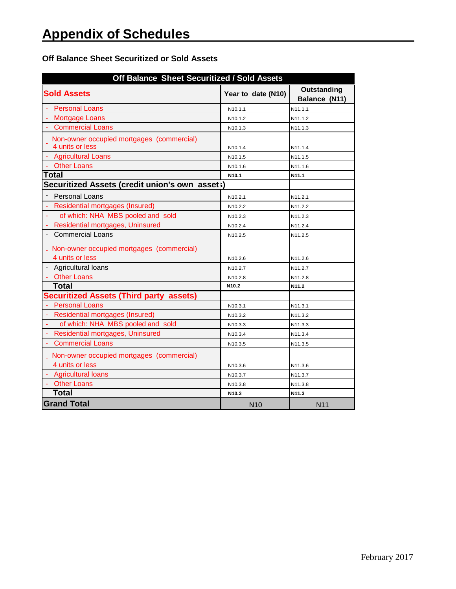### **Off Balance Sheet Securitized or Sold Assets**

<span id="page-7-0"></span>

| Off Balance Sheet Securitized / Sold Assets                    |                     |                              |
|----------------------------------------------------------------|---------------------|------------------------------|
| <b>Sold Assets</b>                                             | Year to date (N10)  | Outstanding<br>Balance (N11) |
| <b>Personal Loans</b>                                          | N10.1.1             | N11.1.1                      |
| - Mortgage Loans                                               | N <sub>10.1.2</sub> | N11.1.2                      |
| - Commercial Loans                                             | N <sub>10.1.3</sub> | N11.1.3                      |
| Non-owner occupied mortgages (commercial)<br>4 units or less   | N <sub>10.1.4</sub> | N11.1.4                      |
| - Agricultural Loans                                           | N <sub>10.1.5</sub> | N11.1.5                      |
| - Other Loans                                                  | N10.1.6             | N11.1.6                      |
| Total                                                          | N <sub>10.1</sub>   | N11.1                        |
| Securitized Assets (credit union's own asset;)                 |                     |                              |
| <b>Personal Loans</b>                                          | N10.2.1             | N11.2.1                      |
| <b>Residential mortgages (Insured)</b>                         | N10.2.2             | N11.2.2                      |
| of which: NHA MBS pooled and sold                              | N <sub>10.2.3</sub> | N <sub>11</sub> ,2,3         |
| Residential mortgages, Uninsured                               | N10.2.4             | N11.2.4                      |
| <b>Commercial Loans</b>                                        | N10.2.5             | N11.2.5                      |
| . Non-owner occupied mortgages (commercial)<br>4 units or less | N <sub>10.2.6</sub> | N11.2.6                      |
| - Agricultural loans                                           | N <sub>10.2.7</sub> | N11.2.7                      |
| - Other Loans                                                  | N10.2.8             | N11.2.8                      |
| <b>Total</b>                                                   | N <sub>10.2</sub>   | N11.2                        |
| <b>Securitized Assets (Third party assets)</b>                 |                     |                              |
| - Personal Loans                                               | N10.3.1             | N11.3.1                      |
| <b>Residential mortgages (Insured)</b><br>$\omega_{\rm c}$     | N <sub>10.3.2</sub> | N11.3.2                      |
| of which: NHA MBS pooled and sold<br>ä,                        | N <sub>10.3.3</sub> | N11.3.3                      |
| ä,<br>Residential mortgages, Uninsured                         | N10.3.4             | N11.3.4                      |
| <b>Commercial Loans</b>                                        | N10.3.5             | N11.3.5                      |
| Non-owner occupied mortgages (commercial)<br>4 units or less   | N10.3.6             | N11.3.6                      |
| - Agricultural loans                                           | N10.3.7             | N11.3.7                      |
| - Other Loans                                                  | N10.3.8             | N11.3.8                      |
| <b>Total</b>                                                   | N <sub>10.3</sub>   | N11.3                        |
| <b>Grand Total</b>                                             | N <sub>10</sub>     | <b>N11</b>                   |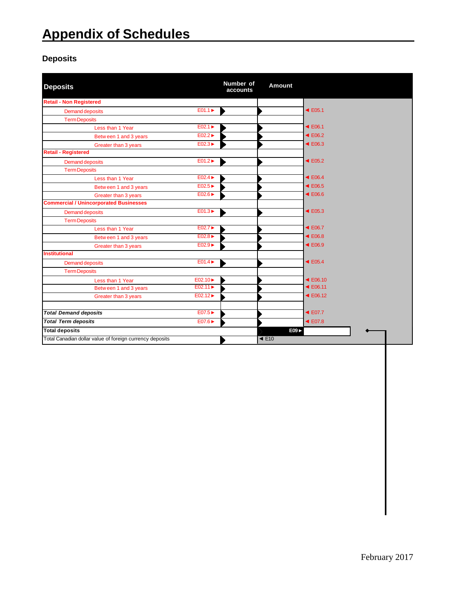## **Deposits**

<span id="page-8-0"></span>

| <b>Deposits</b>                                          |                             | Number of<br>accounts | Amount                   |                             |
|----------------------------------------------------------|-----------------------------|-----------------------|--------------------------|-----------------------------|
| <b>Retail - Non Registered</b>                           |                             |                       |                          |                             |
| Demand deposits                                          | $E01.1 \blacktriangleright$ | ▶                     |                          | $\blacktriangleleft$ E05.1  |
| <b>Term Deposits</b>                                     |                             |                       |                          |                             |
| Less than 1 Year                                         | E02.1                       |                       |                          | $\blacktriangleleft$ E06.1  |
| Between 1 and 3 years                                    | E02.2                       |                       |                          | $\triangleleft$ E06.2       |
| Greater than 3 years                                     | $E02.3 \blacktriangleright$ |                       |                          | $\triangleleft$ E06.3       |
| <b>Retail - Registered</b>                               |                             |                       |                          |                             |
| <b>Demand deposits</b>                                   | $E01.2 \blacktriangleright$ |                       |                          | $\blacktriangleleft$ E05.2  |
| <b>Term Deposits</b>                                     |                             |                       |                          |                             |
| Less than 1 Year                                         | $E02.4 \blacktriangleright$ |                       |                          | $\blacktriangleleft$ E06.4  |
| Between 1 and 3 years                                    | E02.5                       |                       |                          | $\blacktriangleleft$ E06.5  |
| Greater than 3 years                                     | $E02.6 \blacktriangleright$ |                       |                          | $\triangleleft$ E06.6       |
| <b>Commercial / Unincorporated Businesses</b>            |                             |                       |                          |                             |
| <b>Demand deposits</b>                                   | $E01.3 \rightarrow$         |                       |                          | $\blacktriangleleft$ E05.3  |
| <b>Term Deposits</b>                                     |                             |                       |                          |                             |
| Less than 1 Year                                         | E02.7                       |                       |                          | $\blacktriangleleft$ E06.7  |
| Between 1 and 3 years                                    | E02.8                       |                       |                          | $\blacktriangleleft$ E06.8  |
| Greater than 3 years                                     | E02.9                       |                       |                          | $\triangleleft$ E06.9       |
| <b>Institutional</b>                                     |                             |                       |                          |                             |
| <b>Demand deposits</b>                                   | $E01.4 \blacktriangleright$ |                       |                          | $\blacktriangleleft$ E05.4  |
| <b>Term Deposits</b>                                     |                             |                       |                          |                             |
| Less than 1 Year                                         | E02.10 ►                    |                       |                          | $\triangleleft$ E06.10      |
| Between 1 and 3 years                                    | E02.11                      |                       |                          | $\triangleleft$ E06.11      |
| Greater than 3 years                                     | E02.12                      |                       |                          | $\blacktriangleleft$ E06.12 |
| <b>Total Demand deposits</b>                             | E07.5 ▶                     |                       |                          | $\triangleleft$ E07.7       |
| <b>Total Term deposits</b>                               | E07.6 ►                     |                       |                          | $\blacktriangleleft$ E07.8  |
| <b>Total deposits</b>                                    |                             |                       | E09                      |                             |
| Total Canadian dollar value of foreign currency deposits |                             |                       | $\blacktriangleleft$ E10 |                             |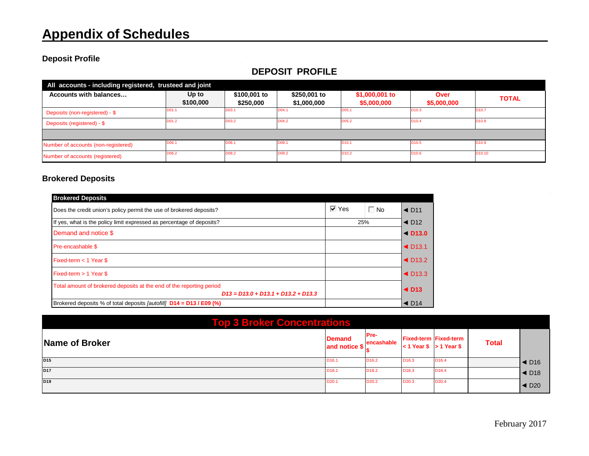### **Deposit Profile**

| All accounts - including registered, trusteed and joint |                    |                           |                             |                               |                     |                    |
|---------------------------------------------------------|--------------------|---------------------------|-----------------------------|-------------------------------|---------------------|--------------------|
| Accounts with balances                                  | Up to<br>\$100,000 | \$100,001 to<br>\$250,000 | \$250,001 to<br>\$1,000,000 | \$1,000,001 to<br>\$5,000,000 | Over<br>\$5,000,000 | <b>TOTAL</b>       |
| Deposits (non-registered) - \$                          | D01.1              | D03.1                     | D04.1                       | D <sub>05</sub> .1            | D <sub>10.3</sub>   | D <sub>10.7</sub>  |
| Deposits (registered) - \$                              | D01.2              | D03.2                     | D04.2                       | D05.2                         | D <sub>10.4</sub>   | D <sub>10.8</sub>  |
|                                                         |                    |                           |                             |                               |                     |                    |
| Number of accounts (non-registered)                     | D <sub>06.1</sub>  | D08.1                     | D <sub>09.1</sub>           | D10.1                         | D <sub>10.5</sub>   | D <sub>10.9</sub>  |
| Number of accounts (registered)                         | D06.2              | D08.2                     | D09.2                       | D <sub>10.2</sub>             | D <sub>10.6</sub>   | D <sub>10.10</sub> |

## **DEPOSIT PROFILE**

### **Brokered Deposits**

<span id="page-9-0"></span>

| <b>Brokered Deposits</b>                                                                                      |                    |           |                                   |
|---------------------------------------------------------------------------------------------------------------|--------------------|-----------|-----------------------------------|
| Does the credit union's policy permit the use of brokered deposits?                                           | $\overline{V}$ Yes | $\Box$ No | $\triangleleft$ D <sub>11</sub>   |
| If yes, what is the policy limit expressed as percentage of deposits?                                         | 25%                |           | $\triangleleft$ D <sub>12</sub>   |
| Demand and notice \$                                                                                          |                    |           | $\triangleleft$ D <sub>13.0</sub> |
| Pre-encashable \$                                                                                             |                    |           | $\triangleleft$ D <sub>13.1</sub> |
| Fixed-term $<$ 1 Year \$                                                                                      |                    |           | $\triangleleft$ D <sub>13.2</sub> |
| Fixed-term $> 1$ Year \$                                                                                      |                    |           | $\triangleleft$ D <sub>13.3</sub> |
| Total amount of brokered deposits at the end of the reporting period<br>$D13 = D13.0 + D13.1 + D13.2 + D13.3$ |                    |           | $\triangleleft$ D <sub>13</sub>   |
| Brokered deposits % of total deposits <i>[autofill]</i> <b>D14 = D13 / E09 (%)</b>                            |                    |           | $\triangleleft$ D <sub>14</sub>   |

<span id="page-9-1"></span>

| <b>Top 3 Broker Concentrations</b> |                                |                    |                             |                              |              |                                      |
|------------------------------------|--------------------------------|--------------------|-----------------------------|------------------------------|--------------|--------------------------------------|
| Name of Broker                     | <b>Demand</b><br>and notice \$ | Pre-<br>encashable | $< 1$ Year \$ $> 1$ Year \$ | <b>Fixed-term Fixed-term</b> | <b>Total</b> |                                      |
| D <sub>15</sub>                    | D <sub>16.1</sub>              | D <sub>16.2</sub>  | D <sub>16.3</sub>           | D <sub>16.4</sub>            |              | $\blacktriangleleft$ D <sub>16</sub> |
| <b>D17</b>                         | D <sub>18.1</sub>              | D <sub>18.2</sub>  | D <sub>18.3</sub>           | D <sub>18.4</sub>            |              | $\blacktriangleleft$ D <sub>18</sub> |
| D <sub>19</sub>                    | D <sub>20.1</sub>              | D <sub>20.2</sub>  | D <sub>20.3</sub>           | D <sub>20.4</sub>            |              | $\blacktriangleleft$ D <sub>20</sub> |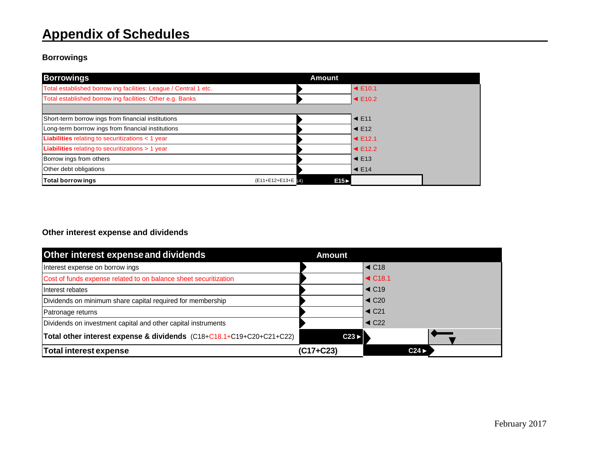## **Borrowings**

| <b>Borrowings</b>                                                | Amount |                            |
|------------------------------------------------------------------|--------|----------------------------|
| Total established borrow ing facilities: League / Central 1 etc. |        | $\blacktriangleleft$ E10.1 |
| Total established borrow ing facilities: Other e.g. Banks        |        | $\blacktriangleleft$ E10.2 |
|                                                                  |        |                            |
| Short-term borrow ings from financial institutions               |        | $\blacktriangleleft$ E11   |
| Long-term borrrow ings from financial institutions               |        | $\blacktriangleleft$ E12   |
| Liabilities relating to securitizations < 1 year                 |        | $\blacktriangleleft$ E12.1 |
| Liabilities relating to securitizations > 1 year                 |        | $\blacktriangleleft$ E12.2 |
| Borrow ings from others                                          |        | $\blacktriangleleft$ E13   |
| Other debt obligations                                           |        | $\blacktriangleleft$ E14   |
| <b>Total borrowings</b><br>(E11+E12+E13+E [4]                    | E15    |                            |

## <span id="page-10-0"></span>**Other interest expense and dividends**

<span id="page-10-1"></span>

| Other interest expense and dividends                                 | Amount    |                                   |
|----------------------------------------------------------------------|-----------|-----------------------------------|
| Interest expense on borrow ings                                      |           | $\blacktriangleleft$ C18          |
| Cost of funds expense related to on balance sheet securitization     |           | $\triangleleft$ C <sub>18.1</sub> |
| Interest rebates                                                     |           | $\triangleleft$ C19               |
| Dividends on minimum share capital required for membership           |           | $\triangleleft$ C <sub>20</sub>   |
| Patronage returns                                                    |           | $\triangleleft$ C <sub>21</sub>   |
| Dividends on investment capital and other capital instruments        |           | $\triangleleft$ C22               |
| Total other interest expense & dividends (C18+C18.1+C19+C20+C21+C22) | C23       |                                   |
| <b>Total interest expense</b>                                        | (C17+C23) | C24                               |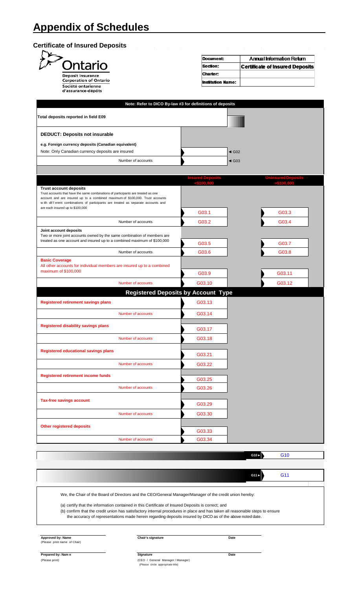## <span id="page-11-0"></span>**Certificate of Insured Deposits**

| Ontario                                                                                                                                                                                                                                                                                    | Section:                 |                     | <b>Certificate of Insured Deposits</b> |  |  |
|--------------------------------------------------------------------------------------------------------------------------------------------------------------------------------------------------------------------------------------------------------------------------------------------|--------------------------|---------------------|----------------------------------------|--|--|
| <b>Deposit Insurance</b><br><b>Corporation of Ontario</b>                                                                                                                                                                                                                                  | Charter:                 |                     |                                        |  |  |
| Société ontarienne<br>d'assurance-dépôts                                                                                                                                                                                                                                                   | <b>Institution Name:</b> |                     |                                        |  |  |
| Note: Refer to DICO By-law #3 for definitions of deposits                                                                                                                                                                                                                                  |                          |                     |                                        |  |  |
|                                                                                                                                                                                                                                                                                            |                          |                     |                                        |  |  |
| Total deposits reported in field E09                                                                                                                                                                                                                                                       |                          |                     |                                        |  |  |
| <b>DEDUCT: Deposits not insurable</b>                                                                                                                                                                                                                                                      |                          |                     |                                        |  |  |
| e.g. Foreign currency deposits (Canadian equivalent)                                                                                                                                                                                                                                       |                          |                     |                                        |  |  |
| Note: Only Canadian currency deposits are insured                                                                                                                                                                                                                                          |                          | $\triangleleft$ G02 |                                        |  |  |
| Number of accounts                                                                                                                                                                                                                                                                         |                          | $\triangleleft$ G03 |                                        |  |  |
|                                                                                                                                                                                                                                                                                            | <b>Insured Deposits</b>  |                     | <b>Uninsured Deposits</b>              |  |  |
|                                                                                                                                                                                                                                                                                            | $<$ \$100.000            |                     |                                        |  |  |
| <b>Trust account deposits</b><br>Trust accounts that have the same combinations of participants are treated as one<br>account and are insured up to a combined maximum of \$100,000. Trust accounts<br>w ith dif f erent combinations of participants are treated as separate accounts and |                          |                     |                                        |  |  |
| are each insured up to \$100,000                                                                                                                                                                                                                                                           | G03.1                    |                     | G03.3                                  |  |  |
| Number of accounts                                                                                                                                                                                                                                                                         | G03.2                    |                     | G03.4                                  |  |  |
| Joint account deposits                                                                                                                                                                                                                                                                     |                          |                     |                                        |  |  |
| Two or more joint accounts owned by the same combination of members are                                                                                                                                                                                                                    |                          |                     |                                        |  |  |
| treated as one account and insured up to a combined maximum of \$100,000                                                                                                                                                                                                                   | G03.5                    |                     | G03.7                                  |  |  |
| Number of accounts                                                                                                                                                                                                                                                                         | G03.6                    |                     | G03.8                                  |  |  |
| <b>Basic Coverage</b><br>All other accounts for individual members are insured up to a combined                                                                                                                                                                                            |                          |                     |                                        |  |  |
| maximum of \$100,000                                                                                                                                                                                                                                                                       | G03.9                    |                     | G03.11                                 |  |  |
| Number of accounts                                                                                                                                                                                                                                                                         | G03.10                   |                     | G03.12                                 |  |  |
| <b>Registered Deposits by Account Type</b>                                                                                                                                                                                                                                                 |                          |                     |                                        |  |  |
| <b>Registered retirement savings plans</b>                                                                                                                                                                                                                                                 | G03.13                   |                     |                                        |  |  |
| Number of accounts                                                                                                                                                                                                                                                                         | G03.14                   |                     |                                        |  |  |
|                                                                                                                                                                                                                                                                                            |                          |                     |                                        |  |  |
| <b>Registered disability savings plans</b>                                                                                                                                                                                                                                                 | G03.17                   |                     |                                        |  |  |
| Number of accounts                                                                                                                                                                                                                                                                         | G03.18                   |                     |                                        |  |  |
|                                                                                                                                                                                                                                                                                            |                          |                     |                                        |  |  |
| <b>Registered educational savings plans</b>                                                                                                                                                                                                                                                | G03.21                   |                     |                                        |  |  |
| Number of accounts                                                                                                                                                                                                                                                                         | G03.22                   |                     |                                        |  |  |
|                                                                                                                                                                                                                                                                                            |                          |                     |                                        |  |  |
| <b>Registered retirement income funds</b>                                                                                                                                                                                                                                                  | G03.25                   |                     |                                        |  |  |
| Number of accounts                                                                                                                                                                                                                                                                         | G03.26                   |                     |                                        |  |  |
| <b>Tax-free savings account</b>                                                                                                                                                                                                                                                            |                          |                     |                                        |  |  |
|                                                                                                                                                                                                                                                                                            | G03.29                   |                     |                                        |  |  |
| Number of accounts                                                                                                                                                                                                                                                                         | G03.30                   |                     |                                        |  |  |
|                                                                                                                                                                                                                                                                                            |                          |                     |                                        |  |  |
| <b>Other registered deposits</b>                                                                                                                                                                                                                                                           | G03.33                   |                     |                                        |  |  |
| Number of accounts                                                                                                                                                                                                                                                                         | G03.34                   |                     |                                        |  |  |
|                                                                                                                                                                                                                                                                                            |                          |                     |                                        |  |  |
|                                                                                                                                                                                                                                                                                            |                          | G10 >               | G <sub>10</sub>                        |  |  |
|                                                                                                                                                                                                                                                                                            |                          |                     |                                        |  |  |
|                                                                                                                                                                                                                                                                                            |                          | G11                 | G11                                    |  |  |

(a) certify that the information contained in this Certificate of Insured Deposits is correct; and

(b) confirm that the credit union has satisfactory internal procedures in place and has taken all reasonable steps to ensure the accuracy of representations made herein regarding deposits insured by DICO as of the above noted date.

**Approved by: Name** (Please print name of Chair)

**Chair's signature Date**

**Prepared by: Nam e Signature Date** (Please print) (CEO / General Manager / Manager) (Please circle appropriate title)